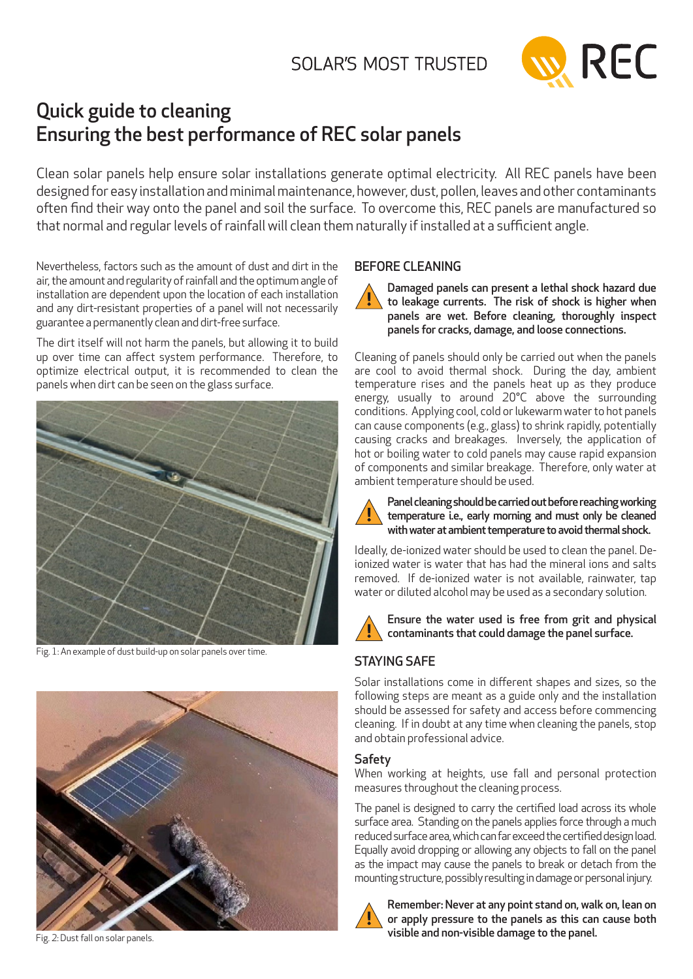

# Quick guide to cleaning Ensuring the best performance of REC solar panels

Clean solar panels help ensure solar installations generate optimal electricity. All REC panels have been designed for easy installation and minimal maintenance, however, dust, pollen, leaves and other contaminants often find their way onto the panel and soil the surface. To overcome this, REC panels are manufactured so that normal and regular levels of rainfall will clean them naturally if installed at a sufficient angle.

Nevertheless, factors such as the amount of dust and dirt in the air, the amount and regularity of rainfall and the optimum angle of installation are dependent upon the location of each installation and any dirt-resistant properties of a panel will not necessarily guarantee a permanently clean and dirt-free surface.

The dirt itself will not harm the panels, but allowing it to build up over time can affect system performance. Therefore, to optimize electrical output, it is recommended to clean the panels when dirt can be seen on the glass surface.



Fig. 1: An example of dust build-up on solar panels over time.



Fig. 2: Dust fall on solar panels.

## BEFORE CLEANING

Damaged panels can present a lethal shock hazard due to leakage currents. The risk of shock is higher when panels are wet. Before cleaning, thoroughly inspect panels for cracks, damage, and loose connections.

Cleaning of panels should only be carried out when the panels are cool to avoid thermal shock. During the day, ambient temperature rises and the panels heat up as they produce energy, usually to around 20°C above the surrounding conditions. Applying cool, cold or lukewarm water to hot panels can cause components (e.g., glass) to shrink rapidly, potentially causing cracks and breakages. Inversely, the application of hot or boiling water to cold panels may cause rapid expansion of components and similar breakage. Therefore, only water at ambient temperature should be used.



Panel cleaning should be carried out before reaching working temperature i.e., early morning and must only be cleaned with water at ambient temperature to avoid thermal shock.

Ideally, de-ionized water should be used to clean the panel. Deionized water is water that has had the mineral ions and salts removed. If de-ionized water is not available, rainwater, tap water or diluted alcohol may be used as a secondary solution.



Ensure the water used is free from grit and physical contaminants that could damage the panel surface.

# STAYING SAFE

Solar installations come in different shapes and sizes, so the following steps are meant as a guide only and the installation should be assessed for safety and access before commencing cleaning. If in doubt at any time when cleaning the panels, stop and obtain professional advice.

## Safety

When working at heights, use fall and personal protection measures throughout the cleaning process.

The panel is designed to carry the certified load across its whole surface area. Standing on the panels applies force through a much reduced surface area, which can far exceed the certified design load. Equally avoid dropping or allowing any objects to fall on the panel as the impact may cause the panels to break or detach from the mounting structure, possibly resulting in damage or personal injury.



Remember: Never at any point stand on, walk on, lean on or apply pressure to the panels as this can cause both visible and non-visible damage to the panel.